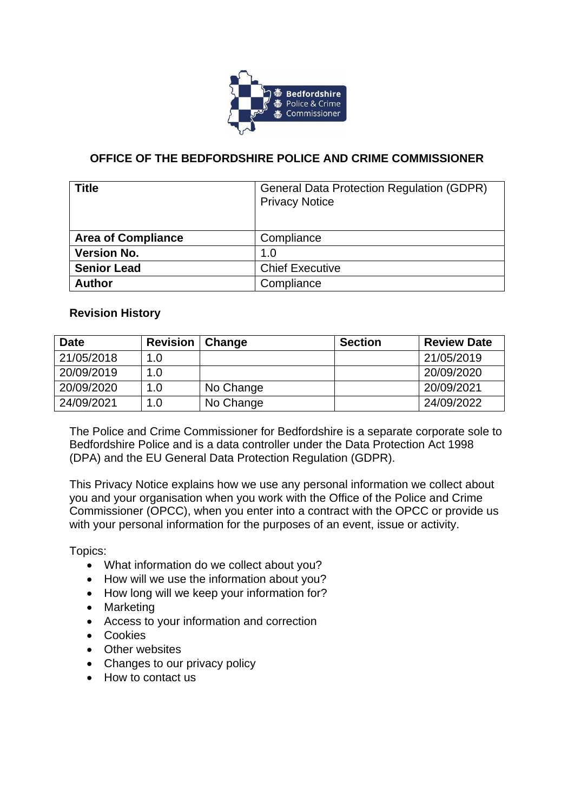

# **OFFICE OF THE BEDFORDSHIRE POLICE AND CRIME COMMISSIONER**

| <b>Title</b>              | <b>General Data Protection Regulation (GDPR)</b><br><b>Privacy Notice</b> |
|---------------------------|---------------------------------------------------------------------------|
| <b>Area of Compliance</b> | Compliance                                                                |
| <b>Version No.</b>        | 1.0                                                                       |
| <b>Senior Lead</b>        | <b>Chief Executive</b>                                                    |
| <b>Author</b>             | Compliance                                                                |

## **Revision History**

| <b>Date</b> | <b>Revision</b> | Change    | <b>Section</b> | <b>Review Date</b> |
|-------------|-----------------|-----------|----------------|--------------------|
| 21/05/2018  | 1.0             |           |                | 21/05/2019         |
| 20/09/2019  | 1.0             |           |                | 20/09/2020         |
| 20/09/2020  | 1.0             | No Change |                | 20/09/2021         |
| 24/09/2021  | 1.0             | No Change |                | 24/09/2022         |

The Police and Crime Commissioner for Bedfordshire is a separate corporate sole to Bedfordshire Police and is a data controller under the Data Protection Act 1998 (DPA) and the EU General Data Protection Regulation (GDPR).

This Privacy Notice explains how we use any personal information we collect about you and your organisation when you work with the Office of the Police and Crime Commissioner (OPCC), when you enter into a contract with the OPCC or provide us with your personal information for the purposes of an event, issue or activity.

Topics:

- What information do we collect about you?
- How will we use the information about you?
- How long will we keep your information for?
- Marketing
- Access to your information and correction
- Cookies
- Other websites
- Changes to our privacy policy
- How to contact us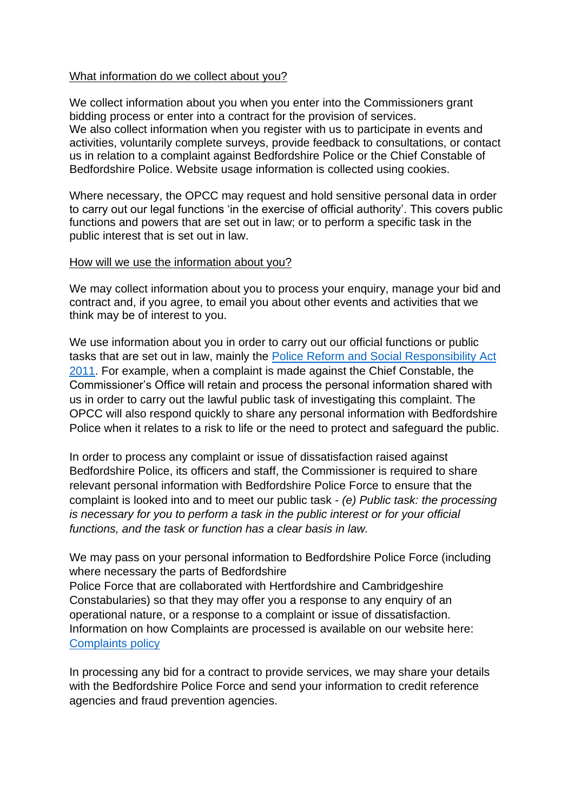### What information do we collect about you?

We collect information about you when you enter into the Commissioners grant bidding process or enter into a contract for the provision of services. We also collect information when you register with us to participate in events and activities, voluntarily complete surveys, provide feedback to consultations, or contact us in relation to a complaint against Bedfordshire Police or the Chief Constable of Bedfordshire Police. Website usage information is collected using cookies.

Where necessary, the OPCC may request and hold sensitive personal data in order to carry out our legal functions 'in the exercise of official authority'. This covers public functions and powers that are set out in law; or to perform a specific task in the public interest that is set out in law.

#### How will we use the information about you?

We may collect information about you to process your enquiry, manage your bid and contract and, if you agree, to email you about other events and activities that we think may be of interest to you.

We use information about you in order to carry out our official functions or public tasks that are set out in law, mainly the [Police Reform and Social Responsibility Act](http://www.legislation.gov.uk/ukpga/2011/13/contents/enacted)  [2011.](http://www.legislation.gov.uk/ukpga/2011/13/contents/enacted) For example, when a complaint is made against the Chief Constable, the Commissioner's Office will retain and process the personal information shared with us in order to carry out the lawful public task of investigating this complaint. The OPCC will also respond quickly to share any personal information with Bedfordshire Police when it relates to a risk to life or the need to protect and safeguard the public.

In order to process any complaint or issue of dissatisfaction raised against Bedfordshire Police, its officers and staff, the Commissioner is required to share relevant personal information with Bedfordshire Police Force to ensure that the complaint is looked into and to meet our public task - *(e) Public task: the processing is necessary for you to perform a task in the public interest or for your official functions, and the task or function has a clear basis in law.*

We may pass on your personal information to Bedfordshire Police Force (including where necessary the parts of Bedfordshire

Police Force that are collaborated with Hertfordshire and Cambridgeshire Constabularies) so that they may offer you a response to any enquiry of an operational nature, or a response to a complaint or issue of dissatisfaction. Information on how Complaints are processed is available on our website here: [Complaints policy](https://www.bedfordshire.pcc.police.uk/complaints-and-comments/)

In processing any bid for a contract to provide services, we may share your details with the Bedfordshire Police Force and send your information to credit reference agencies and fraud prevention agencies.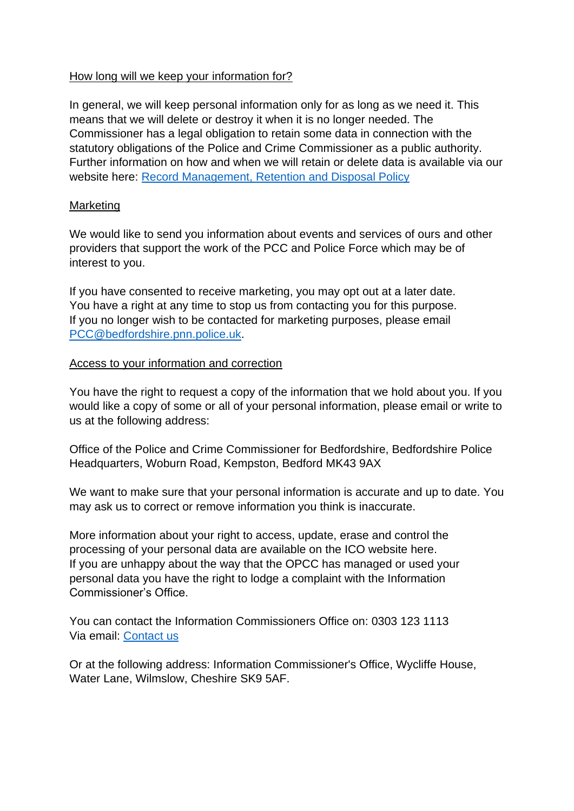## How long will we keep your information for?

In general, we will keep personal information only for as long as we need it. This means that we will delete or destroy it when it is no longer needed. The Commissioner has a legal obligation to retain some data in connection with the statutory obligations of the Police and Crime Commissioner as a public authority. Further information on how and when we will retain or delete data is available via our website here: [Record Management, Retention and Disposal Policy](https://www.bedfordshire.pcc.police.uk/policies-procedures/)

## Marketing

We would like to send you information about events and services of ours and other providers that support the work of the PCC and Police Force which may be of interest to you.

If you have consented to receive marketing, you may opt out at a later date. You have a right at any time to stop us from contacting you for this purpose. If you no longer wish to be contacted for marketing purposes, please email [PCC@bedfordshire.pnn.police.uk.](mailto:PCC@bedfordshire.pnn.police.uk)

## Access to your information and correction

You have the right to request a copy of the information that we hold about you. If you would like a copy of some or all of your personal information, please email or write to us at the following address:

Office of the Police and Crime Commissioner for Bedfordshire, Bedfordshire Police Headquarters, Woburn Road, Kempston, Bedford MK43 9AX

We want to make sure that your personal information is accurate and up to date. You may ask us to correct or remove information you think is inaccurate.

More information about your right to access, update, erase and control the processing of your personal data are available on the ICO website here. If you are unhappy about the way that the OPCC has managed or used your personal data you have the right to lodge a complaint with the Information Commissioner's Office.

You can contact the Information Commissioners Office on: 0303 123 1113 Via email: [Contact us](https://ico.org.uk/)

Or at the following address: Information Commissioner's Office, Wycliffe House, Water Lane, Wilmslow, Cheshire SK9 5AF.